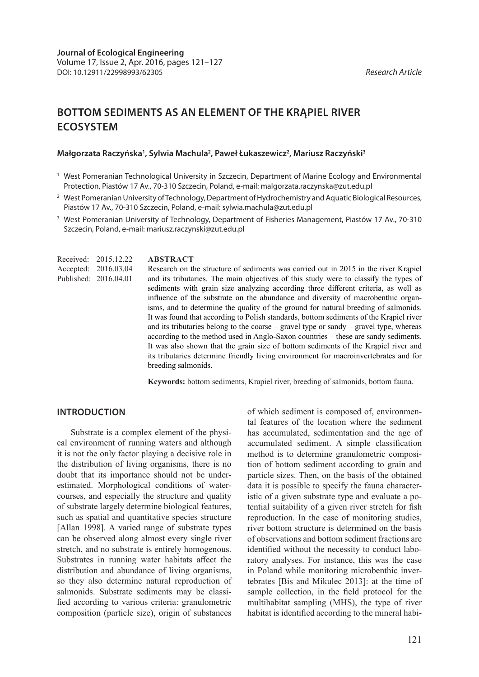# **BOTTOM SEDIMENTS AS AN ELEMENT OF THE KRĄPIEL RIVER ECOSYSTEM**

#### Małgorzata Raczyńska<sup>1</sup>, Sylwia Machula<sup>2</sup>, Paweł Łukaszewicz<sup>2</sup>, Mariusz Raczyński<sup>3</sup>

- <sup>1</sup> West Pomeranian Technological University in Szczecin, Department of Marine Ecology and Environmental Protection, Piastów 17 Av., 70-310 Szczecin, Poland, e-mail: malgorzata.raczynska@zut.edu.pl
- <sup>2</sup> West Pomeranian University of Technology, Department of Hydrochemistry and Aquatic Biological Resources, Piastów 17 Av., 70-310 Szczecin, Poland, e-mail: sylwia.machula@zut.edu.pl
- <sup>3</sup> West Pomeranian University of Technology, Department of Fisheries Management, Piastów 17 Av., 70-310 Szczecin, Poland, e-mail: mariusz.raczynski@zut.edu.pl

**ABSTRACT** Research on the structure of sediments was carried out in 2015 in the river Krapiel and its tributaries. The main objectives of this study were to classify the types of sediments with grain size analyzing according three different criteria, as well as influence of the substrate on the abundance and diversity of macrobenthic organisms, and to determine the quality of the ground for natural breeding of salmonids. It was found that according to Polish standards, bottom sediments of the Krąpiel river and its tributaries belong to the coarse – gravel type or sandy – gravel type, whereas according to the method used in Anglo-Saxon countries – these are sandy sediments. It was also shown that the grain size of bottom sediments of the Krąpiel river and its tributaries determine friendly living environment for macroinvertebrates and for breeding salmonids. Received: 2015.12.22 Accepted: 2016.03.04 Published: 2016.04.01

**Keywords:** bottom sediments, Krapiel river, breeding of salmonids, bottom fauna.

### **INTRODUCTION**

Substrate is a complex element of the physical environment of running waters and although it is not the only factor playing a decisive role in the distribution of living organisms, there is no doubt that its importance should not be underestimated. Morphological conditions of watercourses, and especially the structure and quality of substrate largely determine biological features, such as spatial and quantitative species structure [Allan 1998]. A varied range of substrate types can be observed along almost every single river stretch, and no substrate is entirely homogenous. Substrates in running water habitats affect the distribution and abundance of living organisms, so they also determine natural reproduction of salmonids. Substrate sediments may be classified according to various criteria: granulometric composition (particle size), origin of substances

of which sediment is composed of, environmental features of the location where the sediment has accumulated, sedimentation and the age of accumulated sediment. A simple classification method is to determine granulometric composition of bottom sediment according to grain and particle sizes. Then, on the basis of the obtained data it is possible to specify the fauna characteristic of a given substrate type and evaluate a potential suitability of a given river stretch for fish reproduction. In the case of monitoring studies, river bottom structure is determined on the basis of observations and bottom sediment fractions are identified without the necessity to conduct laboratory analyses. For instance, this was the case in Poland while monitoring microbenthic invertebrates [Bis and Mikulec 2013]: at the time of sample collection, in the field protocol for the multihabitat sampling (MHS), the type of river habitat is identified according to the mineral habi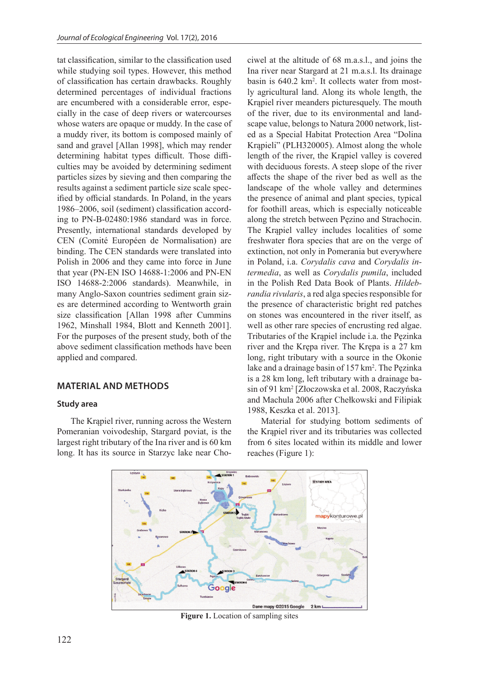tat classification, similar to the classification used while studying soil types. However, this method of classification has certain drawbacks. Roughly determined percentages of individual fractions are encumbered with a considerable error, especially in the case of deep rivers or watercourses whose waters are opaque or muddy. In the case of a muddy river, its bottom is composed mainly of sand and gravel [Allan 1998], which may render determining habitat types difficult. Those difficulties may be avoided by determining sediment particles sizes by sieving and then comparing the results against a sediment particle size scale specified by official standards. In Poland, in the years 1986–2006, soil (sediment) classification according to PN-B-02480:1986 standard was in force. Presently, international standards developed by CEN (Comité Européen de Normalisation) are binding. The CEN standards were translated into Polish in 2006 and they came into force in June that year (PN-EN ISO 14688-1:2006 and PN-EN ISO 14688-2:2006 standards). Meanwhile, in many Anglo-Saxon countries sediment grain sizes are determined according to Wentworth grain size classification [Allan 1998 after Cummins 1962, Minshall 1984, Blott and Kenneth 2001]. For the purposes of the present study, both of the above sediment classification methods have been applied and compared.

# **MATERIAL AND METHODS**

### **Study area**

The Krąpiel river, running across the Western Pomeranian voivodeship, Stargard poviat, is the largest right tributary of the Ina river and is 60 km long. It has its source in Starzyc lake near Chociwel at the altitude of 68 m.a.s.l., and joins the Ina river near Stargard at 21 m.a.s.l. Its drainage basin is 640.2 km<sup>2</sup>. It collects water from mostly agricultural land. Along its whole length, the Krąpiel river meanders picturesquely. The mouth of the river, due to its environmental and landscape value, belongs to Natura 2000 network, listed as a Special Habitat Protection Area "Dolina Krąpieli" (PLH320005). Almost along the whole length of the river, the Krąpiel valley is covered with deciduous forests. A steep slope of the river affects the shape of the river bed as well as the landscape of the whole valley and determines the presence of animal and plant species, typical for foothill areas, which is especially noticeable along the stretch between Pęzino and Strachocin. The Krąpiel valley includes localities of some freshwater flora species that are on the verge of extinction, not only in Pomerania but everywhere in Poland, i.a. *Corydalis cava* and *Corydalis intermedia*, as well as *Corydalis pumila*, included in the Polish Red Data Book of Plants. *Hildebrandia rivularis*, a red alga species responsible for the presence of characteristic bright red patches on stones was encountered in the river itself, as well as other rare species of encrusting red algae. Tributaries of the Krąpiel include i.a. the Pęzinka river and the Krępa river. The Krępa is a 27 km long, right tributary with a source in the Okonie lake and a drainage basin of 157 km<sup>2</sup>. The Pęzinka is a 28 km long, left tributary with a drainage basin of 91 km2 [Złoczowska et al. 2008, Raczyńska and Machula 2006 after Chełkowski and Filipiak 1988, Keszka et al. 2013].

Material for studying bottom sediments of the Krąpiel river and its tributaries was collected from 6 sites located within its middle and lower reaches (Figure 1):



**Figure 1.** Location of sampling sites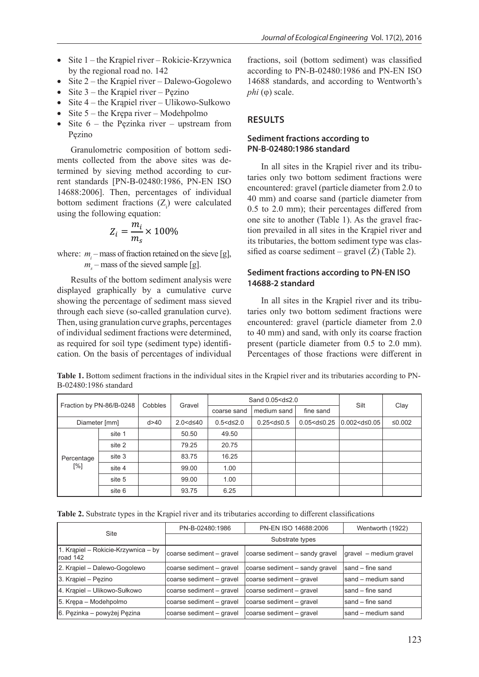- Site 1 the Krapiel river Rokicie-Krzywnica by the regional road no. 142
- Site 2 the Krąpiel river Dalewo-Gogolewo
- Site  $3$  the Krąpiel river Pęzino
	- Site 4 the Krąpiel river Ulikowo-Sułkowo
- Site 5 the Krępa river Modehpolmo
- Site  $6$  the Pęzinka river upstream from Pęzino

Granulometric composition of bottom sediments collected from the above sites was determined by sieving method according to curtermined by sieving method according to current standards  $[PN-B-02480:1986, PN-EN ISO \t\t taries only two bottom$ 14688:2006]. Then, percentages of individual  $\frac{10 \text{ m}}{40 \text{ mm}}$  and coarse sat bottom sediment fractions  $(Z_i)$  were calculated using the following equation: using the following equation:

$$
Z_i = \frac{m_i}{m_s} \times 100\%
$$

 $m<sub>s</sub>$  – mass of the signal where:  $m_i$  – mass of fraction retained on the sieve [g], *ms* – mass of the sieved sample [g].

displayed graphically by a cumulative curve showing the percentage of sediment mass sieved In all sites in the F Then, using granulation curve graphs, percentages encountered: gravel (p of marviolar sediment fractions were determined, to 40 mm) and sand, was required for soil type (sediment type) identification. On the basis of percentages of individual Percentages of those f Results of the bottom sediment analysis were through each sieve (so-called granulation curve). of individual sediment fractions were determined,

fractions, soil (bottom sediment) was classified according to PN-B-02480:1986 and PN-EN ISO 14688 standards, and according to Wentworth's *phi* (φ) scale.

### **RESULTS**

#### **Sediment fractions according to PN-B-02480:1986 standard**

In all sites in the Krąpiel river and its tributaries only two bottom sediment fractions were encountered: gravel (particle diameter from 2.0 to 40 mm) and coarse sand (particle diameter from 0.5 to 2.0 mm); their percentages differed from one site to another (Table 1). As the gravel fraction prevailed in all sites in the Krąpiel river and its tributaries, the bottom sediment type was classified as coarse sediment – gravel  $(\dot{Z})$  (Table 2).

### **Sediment fractions according to PN-EN ISO 14688-2 standard**

In all sites in the Krąpiel river and its tributaries only two bottom sediment fractions were encountered: gravel (particle diameter from 2.0 to 40 mm) and sand, with only its coarse fraction present (particle diameter from 0.5 to 2.0 mm). Percentages of those fractions were different in

Table 1. Bottom sediment fractions in the individual sites in the Krąpiel river and its tributaries according to PN-B-02480:1986 standard

|                   |                          |      |                                                                                                                                                                                                                     |                            | Sand 0.05 <d≤2.0< th=""><th></th><th colspan="2"></th></d≤2.0<> |                                                                                                 |                    |        |  |
|-------------------|--------------------------|------|---------------------------------------------------------------------------------------------------------------------------------------------------------------------------------------------------------------------|----------------------------|-----------------------------------------------------------------|-------------------------------------------------------------------------------------------------|--------------------|--------|--|
|                   | Fraction by PN-86/B-0248 |      | Gravel                                                                                                                                                                                                              | medium sand<br>coarse sand |                                                                 | fine sand                                                                                       | Silt               | Clay   |  |
|                   | Diameter [mm]            | d>40 | 2.0 <d≤40< td=""><td><math>0.5 &lt; d \leq 2.0</math></td><td><math>0.25 &lt; d \leq 0.5</math></td><td>0.05<d≤0.25< td=""><td><math>0.002&lt;</math>d≤<math>0.05</math></td><td>≤0.002</td></d≤0.25<></td></d≤40<> | $0.5 < d \leq 2.0$         | $0.25 < d \leq 0.5$                                             | 0.05 <d≤0.25< td=""><td><math>0.002&lt;</math>d≤<math>0.05</math></td><td>≤0.002</td></d≤0.25<> | $0.002<$ d≤ $0.05$ | ≤0.002 |  |
|                   | site 1                   |      | 50.50                                                                                                                                                                                                               | 49.50                      |                                                                 |                                                                                                 |                    |        |  |
|                   | site 2                   |      | 79.25                                                                                                                                                                                                               | 20.75                      |                                                                 |                                                                                                 |                    |        |  |
| Percentage<br>[%] | site 3                   |      | 83.75                                                                                                                                                                                                               | 16.25                      |                                                                 |                                                                                                 |                    |        |  |
|                   | site 4                   |      | 99.00                                                                                                                                                                                                               | 1.00                       |                                                                 |                                                                                                 |                    |        |  |
|                   | site 5                   |      | 99.00                                                                                                                                                                                                               | 1.00                       |                                                                 |                                                                                                 |                    |        |  |
|                   | site 6                   |      | 93.75                                                                                                                                                                                                               | 6.25                       |                                                                 |                                                                                                 |                    |        |  |

**Table 2.** Substrate types in the Krąpiel river and its tributaries according to different classifications

|                                                 | PN-B-02480:1986          | PN-EN ISO 14688:2006           | Wentworth (1922)       |  |  |  |  |  |
|-------------------------------------------------|--------------------------|--------------------------------|------------------------|--|--|--|--|--|
| Site                                            | Substrate types          |                                |                        |  |  |  |  |  |
| 1. Krapiel – Rokicie-Krzywnica – by<br>road 142 | coarse sediment - gravel | coarse sediment - sandy gravel | gravel – medium gravel |  |  |  |  |  |
| 2. Krapiel – Dalewo-Gogolewo                    | coarse sediment - gravel | coarse sediment - sandy gravel | Isand – fine sand      |  |  |  |  |  |
| 3. Krapiel – Pęzino                             | coarse sediment - gravel | coarse sediment - gravel       | sand – medium sand     |  |  |  |  |  |
| 4. Krapiel – Ulikowo-Sułkowo                    | coarse sediment - gravel | coarse sediment - gravel       | Isand – fine sand      |  |  |  |  |  |
| 5. Krepa – Modehpolmo                           | coarse sediment - gravel | coarse sediment - gravel       | sand – fine sand       |  |  |  |  |  |
| 6. Pęzinka – powyżej Pęzina                     | coarse sediment - gravel | coarse sediment - gravel       | Isand – medium sand    |  |  |  |  |  |
|                                                 |                          |                                |                        |  |  |  |  |  |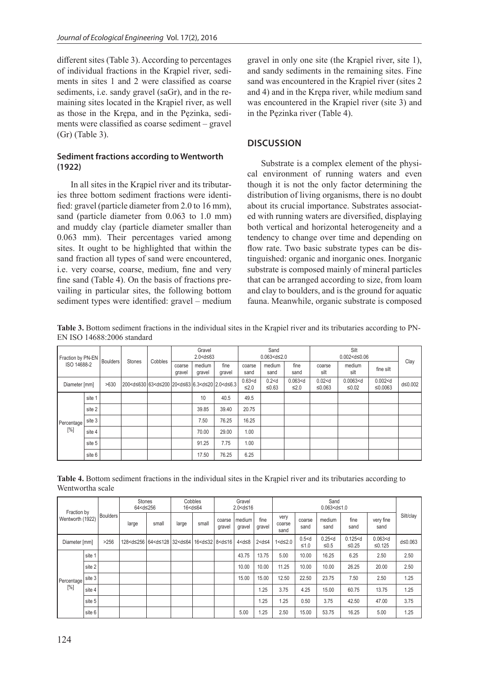different sites (Table 3). According to percentages of individual fractions in the Krąpiel river, sediments in sites 1 and 2 were classified as coarse sediments, i.e. sandy gravel (saGr), and in the remaining sites located in the Krąpiel river, as well as those in the Krępa, and in the Pęzinka, sediments were classified as coarse sediment – gravel (Gr) (Table 3).

### **Sediment fractions according to Wentworth (1922)**

In all sites in the Krąpiel river and its tributaries three bottom sediment fractions were identified: gravel (particle diameter from 2.0 to 16 mm), sand (particle diameter from 0.063 to 1.0 mm) and muddy clay (particle diameter smaller than 0.063 mm). Their percentages varied among sites. It ought to be highlighted that within the sand fraction all types of sand were encountered, i.e. very coarse, coarse, medium, fine and very fine sand (Table 4). On the basis of fractions prevailing in particular sites, the following bottom sediment types were identified: gravel – medium gravel in only one site (the Krąpiel river, site 1), and sandy sediments in the remaining sites. Fine sand was encountered in the Krąpiel river (sites 2 and 4) and in the Krępa river, while medium sand was encountered in the Krąpiel river (site 3) and in the Pęzinka river (Table 4).

# **DISCUSSION**

Substrate is a complex element of the physical environment of running waters and even though it is not the only factor determining the distribution of living organisms, there is no doubt about its crucial importance. Substrates associated with running waters are diversified, displaying both vertical and horizontal heterogeneity and a tendency to change over time and depending on flow rate. Two basic substrate types can be distinguished: organic and inorganic ones. Inorganic substrate is composed mainly of mineral particles that can be arranged according to size, from loam and clay to boulders, and is the ground for aquatic fauna. Meanwhile, organic substrate is composed

**Table 3.** Bottom sediment fractions in the individual sites in the Krąpiel river and its tributaries according to PN-EN ISO 14688:2006 standard

| Fraction by PN-EN | <b>Boulders</b> | Stones | Cobbles                                                                                                                                                                                                                                                                                                                                                                                                                            | Gravel<br>$2.0 < d \leq 63$ |                  |                  | Sand<br>$0.063 < d \leq 2.0$ |                         |                    | Silt<br>$0.002 < d \leq 0.06$ |                    |                      |                       |         |
|-------------------|-----------------|--------|------------------------------------------------------------------------------------------------------------------------------------------------------------------------------------------------------------------------------------------------------------------------------------------------------------------------------------------------------------------------------------------------------------------------------------|-----------------------------|------------------|------------------|------------------------------|-------------------------|--------------------|-------------------------------|--------------------|----------------------|-----------------------|---------|
| ISO 14688-2       |                 |        |                                                                                                                                                                                                                                                                                                                                                                                                                                    |                             | coarse<br>gravel | medium<br>gravel | fine<br>gravel               | coarse<br>sand          | medium<br>sand     | fine<br>sand                  | coarse<br>silt     | medium<br>silt       | fine silt             | Clay    |
| Diameter [mm]     |                 | >630   | 200 <d≤630 2.0<d≤6.3<="" 20<d≤63="" 6.3<d≤20="" 63<d≤200="" td=""><td></td><td></td><td></td><td></td><td><math>0.63&lt;</math>d<br/><math>\leq 2.0</math></td><td>0.2 &lt; d<br/><math display="inline">≤0.63</math></td><td><math>0.063&lt;</math>d<br/><math>\leq 2.0</math></td><td>0.02 &lt; d<br/>≤0.063</td><td><math>0.0063&lt;</math>d<br/>≤0.02</td><td><math>0.002&lt;</math>d<br/>≤0.0063</td><td>d≤0.002</td></d≤630> |                             |                  |                  |                              | $0.63<$ d<br>$\leq 2.0$ | 0.2 < d<br>$≤0.63$ | $0.063<$ d<br>$\leq 2.0$      | 0.02 < d<br>≤0.063 | $0.0063<$ d<br>≤0.02 | $0.002<$ d<br>≤0.0063 | d≤0.002 |
| Percentage<br>[%] | site 1          |        |                                                                                                                                                                                                                                                                                                                                                                                                                                    |                             |                  | 10               | 40.5                         | 49.5                    |                    |                               |                    |                      |                       |         |
|                   | site 2          |        |                                                                                                                                                                                                                                                                                                                                                                                                                                    |                             |                  | 39.85            | 39.40                        | 20.75                   |                    |                               |                    |                      |                       |         |
|                   | site 3          |        |                                                                                                                                                                                                                                                                                                                                                                                                                                    |                             |                  | 7.50             | 76.25                        | 16.25                   |                    |                               |                    |                      |                       |         |
|                   | site 4          |        |                                                                                                                                                                                                                                                                                                                                                                                                                                    |                             |                  | 70.00            | 29.00                        | 1.00                    |                    |                               |                    |                      |                       |         |
|                   | site 5          |        |                                                                                                                                                                                                                                                                                                                                                                                                                                    |                             |                  | 91.25            | 7.75                         | 1.00                    |                    |                               |                    |                      |                       |         |
|                   | site 6          |        |                                                                                                                                                                                                                                                                                                                                                                                                                                    |                             |                  | 17.50            | 76.25                        | 6.25                    |                    |                               |                    |                      |                       |         |

**Table 4.** Bottom sediment fractions in the individual sites in the Krąpiel river and its tributaries according to Wentwortha scale

|                                 | <b>Boulders</b> | Stones<br>64 <d≤256< th=""><th></th><th colspan="2">Cobbles<br/>16<d≤64< th=""><th colspan="3">Gravel<br/>2.0<d≤16< th=""><th colspan="5">Sand<br/><math>0.063 &lt; d \leq 1.0</math></th></d≤16<></th></d≤64<></th></d≤256<> |                                                                                                                                                                                                                                                                                                                                                                                                                                                   | Cobbles<br>16 <d≤64< th=""><th colspan="3">Gravel<br/>2.0<d≤16< th=""><th colspan="5">Sand<br/><math>0.063 &lt; d \leq 1.0</math></th></d≤16<></th></d≤64<>                                                                                                                                                                                                                                                    |       | Gravel<br>2.0 <d≤16< th=""><th colspan="5">Sand<br/><math>0.063 &lt; d \leq 1.0</math></th></d≤16<> |                  |                | Sand<br>$0.063 < d \leq 1.0$ |                                                                                                                                                                                                                                          |                 |                    |                      |                      |         |
|---------------------------------|-----------------|-------------------------------------------------------------------------------------------------------------------------------------------------------------------------------------------------------------------------------|---------------------------------------------------------------------------------------------------------------------------------------------------------------------------------------------------------------------------------------------------------------------------------------------------------------------------------------------------------------------------------------------------------------------------------------------------|----------------------------------------------------------------------------------------------------------------------------------------------------------------------------------------------------------------------------------------------------------------------------------------------------------------------------------------------------------------------------------------------------------------|-------|-----------------------------------------------------------------------------------------------------|------------------|----------------|------------------------------|------------------------------------------------------------------------------------------------------------------------------------------------------------------------------------------------------------------------------------------|-----------------|--------------------|----------------------|----------------------|---------|
| Fraction by<br>Wentworth (1922) |                 | large                                                                                                                                                                                                                         | small                                                                                                                                                                                                                                                                                                                                                                                                                                             | large                                                                                                                                                                                                                                                                                                                                                                                                          | small | coarse<br>gravel                                                                                    | medium<br>gravel | fine<br>gravel | very<br>coarse<br>sand       | coarse<br>sand                                                                                                                                                                                                                           | medium<br>sand  | fine<br>sand       | very fine<br>sand    | Silt/clay            |         |
| Diameter [mm]                   |                 | >256                                                                                                                                                                                                                          | 128 <d≤256< td=""><td>64<d≤128 16<d≤32="" 32<d≤64="" 8<d≤16<="" td=""><td></td><td></td><td></td><td><math>4 &lt; d \leq 8</math></td><td><math>2 &lt; d \leq 4</math></td><td>1<d≤2.0< td=""><td>0.5 &lt; d<br/>≤1.0</td><td>0.25 &lt; d<br/><math display="inline">≤0.5</math></td><td>0.125 &lt; d<br/><math display="inline">≤0.25</math></td><td><math>0.063&lt;</math>d<br/>≤0.125</td><td>d≤0.063</td></d≤2.0<></td></d≤128></td></d≤256<> | 64 <d≤128 16<d≤32="" 32<d≤64="" 8<d≤16<="" td=""><td></td><td></td><td></td><td><math>4 &lt; d \leq 8</math></td><td><math>2 &lt; d \leq 4</math></td><td>1<d≤2.0< td=""><td>0.5 &lt; d<br/>≤1.0</td><td>0.25 &lt; d<br/><math display="inline">≤0.5</math></td><td>0.125 &lt; d<br/><math display="inline">≤0.25</math></td><td><math>0.063&lt;</math>d<br/>≤0.125</td><td>d≤0.063</td></d≤2.0<></td></d≤128> |       |                                                                                                     |                  | $4 < d \leq 8$ | $2 < d \leq 4$               | 1 <d≤2.0< td=""><td>0.5 &lt; d<br/>≤1.0</td><td>0.25 &lt; d<br/><math display="inline">≤0.5</math></td><td>0.125 &lt; d<br/><math display="inline">≤0.25</math></td><td><math>0.063&lt;</math>d<br/>≤0.125</td><td>d≤0.063</td></d≤2.0<> | 0.5 < d<br>≤1.0 | 0.25 < d<br>$≤0.5$ | 0.125 < d<br>$≤0.25$ | $0.063<$ d<br>≤0.125 | d≤0.063 |
|                                 | site 1          |                                                                                                                                                                                                                               |                                                                                                                                                                                                                                                                                                                                                                                                                                                   |                                                                                                                                                                                                                                                                                                                                                                                                                |       |                                                                                                     |                  | 43.75          | 13.75                        | 5.00                                                                                                                                                                                                                                     | 10.00           | 16.25              | 6.25                 | 2.50                 | 2.50    |
|                                 | site 2          |                                                                                                                                                                                                                               |                                                                                                                                                                                                                                                                                                                                                                                                                                                   |                                                                                                                                                                                                                                                                                                                                                                                                                |       |                                                                                                     |                  | 10.00          | 10.00                        | 11.25                                                                                                                                                                                                                                    | 10.00           | 10.00              | 26.25                | 20.00                | 2.50    |
| Percentage<br>$[\%]$            | site 3          |                                                                                                                                                                                                                               |                                                                                                                                                                                                                                                                                                                                                                                                                                                   |                                                                                                                                                                                                                                                                                                                                                                                                                |       |                                                                                                     |                  | 15.00          | 15.00                        | 12.50                                                                                                                                                                                                                                    | 22.50           | 23.75              | 7.50                 | 2.50                 | 1.25    |
|                                 | site 4          |                                                                                                                                                                                                                               |                                                                                                                                                                                                                                                                                                                                                                                                                                                   |                                                                                                                                                                                                                                                                                                                                                                                                                |       |                                                                                                     |                  |                | 1.25                         | 3.75                                                                                                                                                                                                                                     | 4.25            | 15.00              | 60.75                | 13.75                | 1.25    |
|                                 | site 5          |                                                                                                                                                                                                                               |                                                                                                                                                                                                                                                                                                                                                                                                                                                   |                                                                                                                                                                                                                                                                                                                                                                                                                |       |                                                                                                     |                  |                | .25                          | 1.25                                                                                                                                                                                                                                     | 0.50            | 3.75               | 42.50                | 47.00                | 3.75    |
|                                 | site 6          |                                                                                                                                                                                                                               |                                                                                                                                                                                                                                                                                                                                                                                                                                                   |                                                                                                                                                                                                                                                                                                                                                                                                                |       |                                                                                                     |                  | 5.00           | .25                          | 2.50                                                                                                                                                                                                                                     | 15.00           | 53.75              | 16.25                | 5.00                 | 1.25    |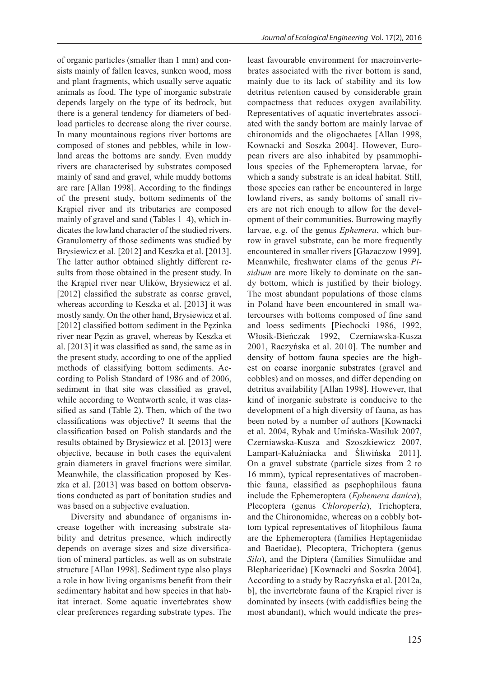of organic particles (smaller than 1 mm) and consists mainly of fallen leaves, sunken wood, moss and plant fragments, which usually serve aquatic animals as food. The type of inorganic substrate depends largely on the type of its bedrock, but there is a general tendency for diameters of bedload particles to decrease along the river course. In many mountainous regions river bottoms are composed of stones and pebbles, while in lowland areas the bottoms are sandy. Even muddy rivers are characterised by substrates composed mainly of sand and gravel, while muddy bottoms are rare [Allan 1998]. According to the findings of the present study, bottom sediments of the Krąpiel river and its tributaries are composed mainly of gravel and sand (Tables 1–4), which indicates the lowland character of the studied rivers. Granulometry of those sediments was studied by Brysiewicz et al. [2012] and Keszka et al. [2013]. The latter author obtained slightly different results from those obtained in the present study. In the Krąpiel river near Ulików, Brysiewicz et al. [2012] classified the substrate as coarse gravel, whereas according to Keszka et al. [2013] it was mostly sandy. On the other hand, Brysiewicz et al. [2012] classified bottom sediment in the Pęzinka river near Pęzin as gravel, whereas by Keszka et al. [2013] it was classified as sand, the same as in the present study, according to one of the applied methods of classifying bottom sediments. According to Polish Standard of 1986 and of 2006, sediment in that site was classified as gravel, while according to Wentworth scale, it was classified as sand (Table 2). Then, which of the two classifications was objective? It seems that the classification based on Polish standards and the results obtained by Brysiewicz et al. [2013] were objective, because in both cases the equivalent grain diameters in gravel fractions were similar. Meanwhile, the classification proposed by Keszka et al. [2013] was based on bottom observations conducted as part of bonitation studies and was based on a subjective evaluation.

Diversity and abundance of organisms increase together with increasing substrate stability and detritus presence, which indirectly depends on average sizes and size diversification of mineral particles, as well as on substrate structure [Allan 1998]. Sediment type also plays a role in how living organisms benefit from their sedimentary habitat and how species in that habitat interact. Some aquatic invertebrates show clear preferences regarding substrate types. The

least favourable environment for macroinvertebrates associated with the river bottom is sand, mainly due to its lack of stability and its low detritus retention caused by considerable grain compactness that reduces oxygen availability. Representatives of aquatic invertebrates associated with the sandy bottom are mainly larvae of chironomids and the oligochaetes [Allan 1998, Kownacki and Soszka 2004]. However, European rivers are also inhabited by psammophilous species of the Ephemeroptera larvae, for which a sandy substrate is an ideal habitat. Still, those species can rather be encountered in large lowland rivers, as sandy bottoms of small rivers are not rich enough to allow for the development of their communities. Burrowing mayfly larvae, e.g. of the genus *Ephemera*, which burrow in gravel substrate, can be more frequently encountered in smaller rivers [Głazaczow 1999]. Meanwhile, freshwater clams of the genus *Pisidium* are more likely to dominate on the sandy bottom, which is justified by their biology. The most abundant populations of those clams in Poland have been encountered in small watercourses with bottoms composed of fine sand and loess sediments [Piechocki 1986, 1992, Włosik-Bieńczak 1992, Czerniawska-Kusza 2001, Raczyńska et al. 2010]. The number and density of bottom fauna species are the highest on coarse inorganic substrates (gravel and cobbles) and on mosses, and differ depending on detritus availability [Allan 1998]. However, that kind of inorganic substrate is conducive to the development of a high diversity of fauna, as has been noted by a number of authors [Kownacki et al. 2004, Rybak and Umińska-Wasiluk 2007, Czerniawska-Kusza and Szoszkiewicz 2007, Lampart-Kałużniacka and Śliwińska 2011]. On a gravel substrate (particle sizes from 2 to 16 mmm), typical representatives of macrobenthic fauna, classified as psephophilous fauna include the Ephemeroptera (*Ephemera danica*), Plecoptera (genus *Chloroperla*), Trichoptera, and the Chironomidae, whereas on a cobbly bottom typical representatives of litophilous fauna are the Ephemeroptera (families Heptageniidae and Baetidae), Plecoptera, Trichoptera (genus *Silo*), and the Diptera (families Simuliidae and Blephariceridae) [Kownacki and Soszka 2004]. According to a study by Raczyńska et al. [2012a, b], the invertebrate fauna of the Krąpiel river is dominated by insects (with caddisflies being the most abundant), which would indicate the pres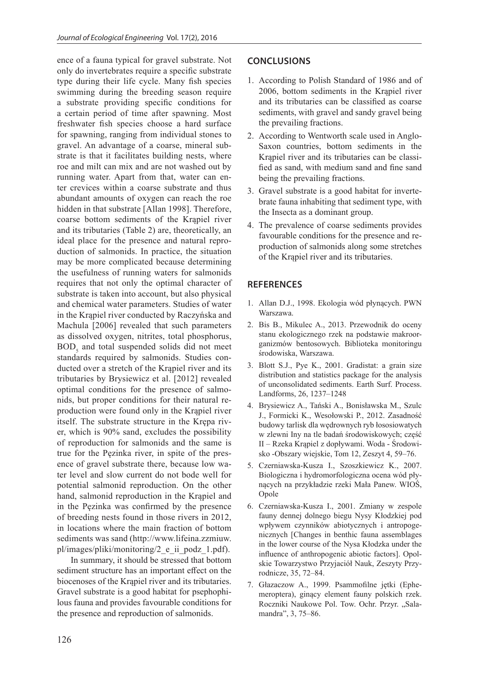ence of a fauna typical for gravel substrate. Not only do invertebrates require a specific substrate type during their life cycle. Many fish species swimming during the breeding season require a substrate providing specific conditions for a certain period of time after spawning. Most freshwater fish species choose a hard surface for spawning, ranging from individual stones to gravel. An advantage of a coarse, mineral substrate is that it facilitates building nests, where roe and milt can mix and are not washed out by running water. Apart from that, water can enter crevices within a coarse substrate and thus abundant amounts of oxygen can reach the roe hidden in that substrate [Allan 1998]. Therefore, coarse bottom sediments of the Krąpiel river and its tributaries (Table 2) are, theoretically, an ideal place for the presence and natural reproduction of salmonids. In practice, the situation may be more complicated because determining the usefulness of running waters for salmonids requires that not only the optimal character of substrate is taken into account, but also physical and chemical water parameters. Studies of water in the Krąpiel river conducted by Raczyńska and Machula [2006] revealed that such parameters as dissolved oxygen, nitrites, total phosphorus,  $BOD<sub>5</sub>$  and total suspended solids did not meet standards required by salmonids. Studies conducted over a stretch of the Krąpiel river and its tributaries by Brysiewicz et al. [2012] revealed optimal conditions for the presence of salmonids, but proper conditions for their natural reproduction were found only in the Krąpiel river itself. The substrate structure in the Krępa river, which is 90% sand, excludes the possibility of reproduction for salmonids and the same is true for the Pęzinka river, in spite of the presence of gravel substrate there, because low water level and slow current do not bode well for potential salmonid reproduction. On the other hand, salmonid reproduction in the Krąpiel and in the Pęzinka was confirmed by the presence of breeding nests found in those rivers in 2012, in locations where the main fraction of bottom sediments was sand (http://www.lifeina.zzmiuw. pl/images/pliki/monitoring/2\_e\_ii\_podz\_1.pdf).

In summary, it should be stressed that bottom sediment structure has an important effect on the biocenoses of the Krąpiel river and its tributaries. Gravel substrate is a good habitat for psephophilous fauna and provides favourable conditions for the presence and reproduction of salmonids.

# **CONCLUSIONS**

- 1. According to Polish Standard of 1986 and of 2006, bottom sediments in the Krąpiel river and its tributaries can be classified as coarse sediments, with gravel and sandy gravel being the prevailing fractions.
- 2. According to Wentworth scale used in Anglo-Saxon countries, bottom sediments in the Krąpiel river and its tributaries can be classified as sand, with medium sand and fine sand being the prevailing fractions.
- 3. Gravel substrate is a good habitat for invertebrate fauna inhabiting that sediment type, with the Insecta as a dominant group.
- 4. The prevalence of coarse sediments provides favourable conditions for the presence and reproduction of salmonids along some stretches of the Krąpiel river and its tributaries.

# **REFERENCES**

- 1. Allan D.J., 1998. Ekologia wód płynących. PWN Warszawa.
- 2. Bis B., Mikulec A., 2013. Przewodnik do oceny stanu ekologicznego rzek na podstawie makroorganizmów bentosowych. Biblioteka monitoringu środowiska, Warszawa.
- 3. Blott S.J., Pye K., 2001. Gradistat: a grain size distribution and statistics package for the analysis of unconsolidated sediments. Earth Surf. Process. Landforms, 26, 1237–1248
- 4. Brysiewicz A., Tański A., Bonisławska M., Szulc J., Formicki K., Wesołowski P., 2012. Zasadność budowy tarlisk dla wędrownych ryb łososiowatych w zlewni Iny na tle badań środowiskowych; część II – Rzeka Krąpiel z dopływami. Woda - Środowisko -Obszary wiejskie, Tom 12, Zeszyt 4, 59–76.
- 5. Czerniawska-Kusza I., Szoszkiewicz K., 2007. Biologiczna i hydromorfologiczna ocena wód płynących na przykładzie rzeki Mała Panew. WIOŚ, Opole
- 6. Czerniawska-Kusza I., 2001. Zmiany w zespole fauny dennej dolnego biegu Nysy Kłodzkiej pod wpływem czynników abiotycznych i antropogenicznych [Changes in benthic fauna assemblages in the lower course of the Nysa Kłodzka under the influence of anthropogenic abiotic factors]. Opolskie Towarzystwo Przyjaciół Nauk, Zeszyty Przyrodnicze, 35, 72–84.
- 7. Głazaczow A., 1999. Psammofilne jętki (Ephemeroptera), ginący element fauny polskich rzek. Roczniki Naukowe Pol. Tow. Ochr. Przyr. "Salamandra", 3, 75–86.